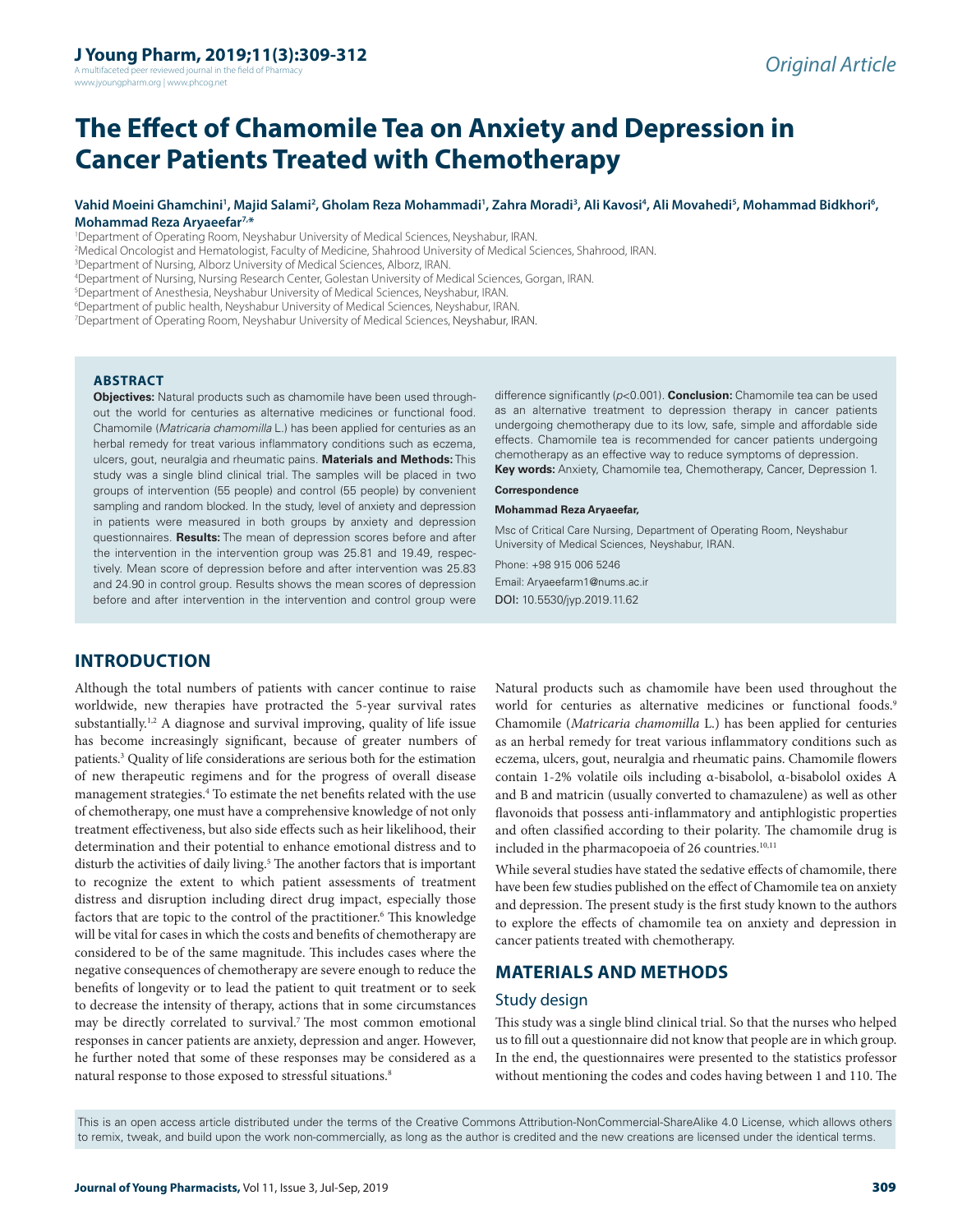A multifaceted peer reviewed journal in the field of Pharmacy www.jyoungpharm.org | www.phcog.net

# **The Effect of Chamomile Tea on Anxiety and Depression in Cancer Patients Treated with Chemotherapy**

#### Vahid Moeini Ghamchini', Majid Salami<sup>2</sup>, Gholam Reza Mohammadi', Zahra Moradi<sup>3</sup>, Ali Kavosi<sup>4</sup>, Ali Movahedi<sup>5</sup>, Mohammad Bidkhori<sup>6</sup>, **Mohammad Reza Aryaeefar7,\***

1 Department of Operating Room, Neyshabur University of Medical Sciences, Neyshabur, IRAN.

2 Medical Oncologist and Hematologist, Faculty of Medicine, Shahrood University of Medical Sciences, Shahrood, IRAN.

<sup>3</sup>Department of Nursing, Alborz University of Medical Sciences, Alborz, IRAN.

4 Department of Nursing, Nursing Research Center, Golestan University of Medical Sciences, Gorgan, IRAN.

<sup>5</sup>Department of Anesthesia, Neyshabur University of Medical Sciences, Neyshabur, IRAN.

6 Department of public health, Neyshabur University of Medical Sciences, Neyshabur, IRAN.

7 Department of Operating Room, Neyshabur University of Medical Sciences, Neyshabur, IRAN.

#### **ABSTRACT**

**Objectives:** Natural products such as chamomile have been used throughout the world for centuries as alternative medicines or functional food. Chamomile (*Matricaria chamomilla* L.) has been applied for centuries as an herbal remedy for treat various inflammatory conditions such as eczema, ulcers, gout, neuralgia and rheumatic pains. **Materials and Methods:** This study was a single blind clinical trial. The samples will be placed in two groups of intervention (55 people) and control (55 people) by convenient sampling and random blocked. In the study, level of anxiety and depression in patients were measured in both groups by anxiety and depression questionnaires. **Results:** The mean of depression scores before and after the intervention in the intervention group was 25.81 and 19.49, respectively. Mean score of depression before and after intervention was 25.83 and 24.90 in control group. Results shows the mean scores of depression before and after intervention in the intervention and control group were

difference significantly (*p*<0.001). **Conclusion:** Chamomile tea can be used as an alternative treatment to depression therapy in cancer patients undergoing chemotherapy due to its low, safe, simple and affordable side effects. Chamomile tea is recommended for cancer patients undergoing chemotherapy as an effective way to reduce symptoms of depression.

**Key words:** Anxiety, Chamomile tea, Chemotherapy, Cancer, Depression 1. **Correspondence**

#### **Mohammad Reza Aryaeefar,**

Msc of Critical Care Nursing, Department of Operating Room, Neyshabur University of Medical Sciences, Neyshabur, IRAN.

Phone: +98 915 006 5246

Email: Aryaeefarm1@nums.ac.ir DOI: 10.5530/jyp.2019.11.62

# **INTRODUCTION**

Although the total numbers of patients with cancer continue to raise worldwide, new therapies have protracted the 5-year survival rates substantially.<sup>1,2</sup> A diagnose and survival improving, quality of life issue has become increasingly significant, because of greater numbers of patients.3 Quality of life considerations are serious both for the estimation of new therapeutic regimens and for the progress of overall disease management strategies.<sup>4</sup> To estimate the net benefits related with the use of chemotherapy, one must have a comprehensive knowledge of not only treatment effectiveness, but also side effects such as heir likelihood, their determination and their potential to enhance emotional distress and to disturb the activities of daily living.<sup>5</sup> The another factors that is important to recognize the extent to which patient assessments of treatment distress and disruption including direct drug impact, especially those factors that are topic to the control of the practitioner.<sup>6</sup> This knowledge will be vital for cases in which the costs and benefits of chemotherapy are considered to be of the same magnitude. This includes cases where the negative consequences of chemotherapy are severe enough to reduce the benefits of longevity or to lead the patient to quit treatment or to seek to decrease the intensity of therapy, actions that in some circumstances may be directly correlated to survival.7 The most common emotional responses in cancer patients are anxiety, depression and anger. However, he further noted that some of these responses may be considered as a natural response to those exposed to stressful situations.<sup>8</sup>

Natural products such as chamomile have been used throughout the world for centuries as alternative medicines or functional foods.<sup>9</sup> Chamomile (*Matricaria chamomilla* L.) has been applied for centuries as an herbal remedy for treat various inflammatory conditions such as eczema, ulcers, gout, neuralgia and rheumatic pains. Chamomile flowers contain 1-2% volatile oils including α-bisabolol, α-bisabolol oxides A and B and matricin (usually converted to chamazulene) as well as other flavonoids that possess anti-inflammatory and antiphlogistic properties and often classified according to their polarity. The chamomile drug is included in the pharmacopoeia of 26 countries.<sup>10,11</sup>

While several studies have stated the sedative effects of chamomile, there have been few studies published on the effect of Chamomile tea on anxiety and depression. The present study is the first study known to the authors to explore the effects of chamomile tea on anxiety and depression in cancer patients treated with chemotherapy.

# **MATERIALS AND METHODS**

#### Study design

This study was a single blind clinical trial. So that the nurses who helped us to fill out a questionnaire did not know that people are in which group. In the end, the questionnaires were presented to the statistics professor without mentioning the codes and codes having between 1 and 110. The

This is an open access article distributed under the terms of the Creative Commons Attribution-NonCommercial-ShareAlike 4.0 License, which allows others to remix, tweak, and build upon the work non-commercially, as long as the author is credited and the new creations are licensed under the identical terms.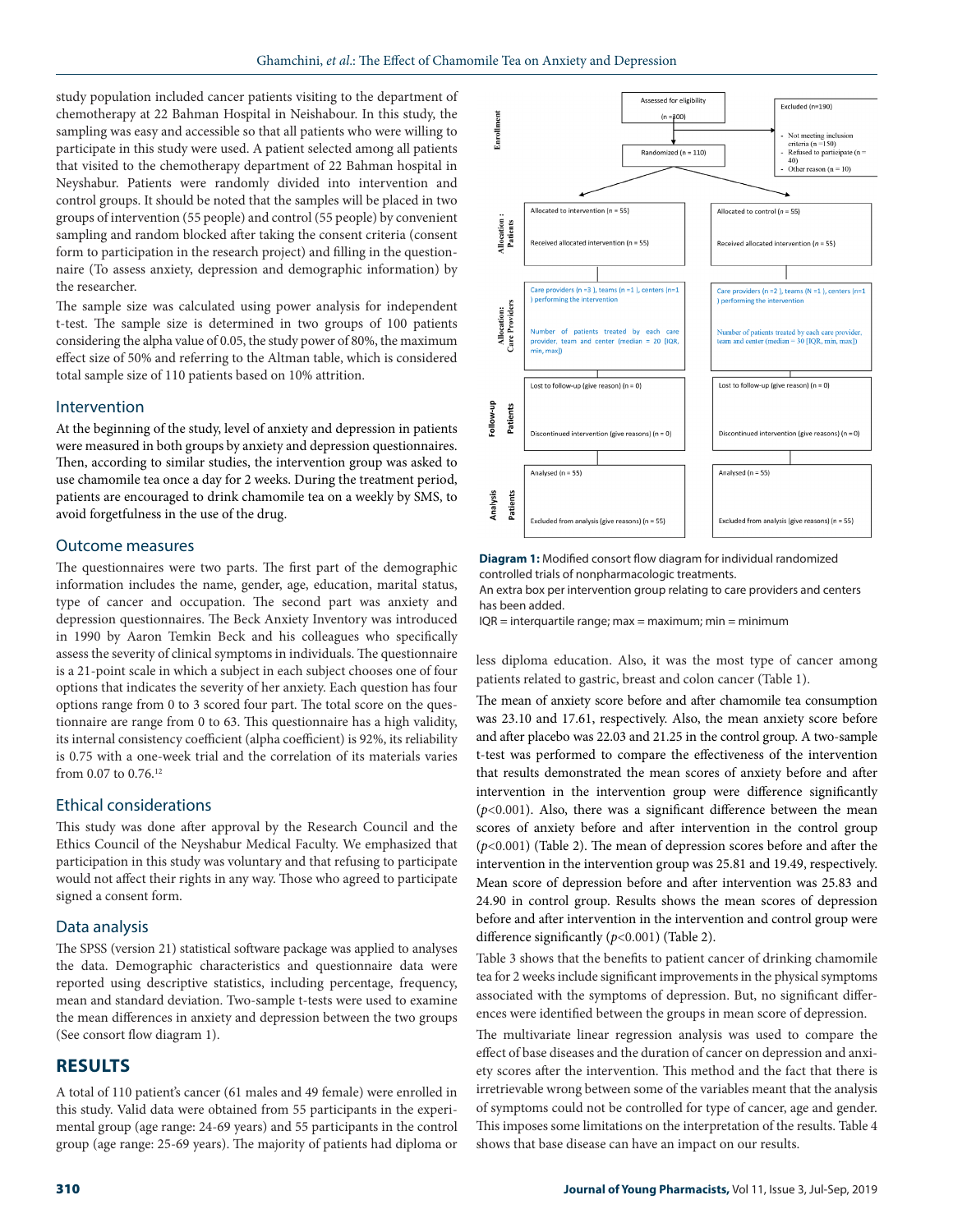study population included cancer patients visiting to the department of chemotherapy at 22 Bahman Hospital in Neishabour. In this study, the sampling was easy and accessible so that all patients who were willing to participate in this study were used. A patient selected among all patients that visited to the chemotherapy department of 22 Bahman hospital in Neyshabur. Patients were randomly divided into intervention and control groups. It should be noted that the samples will be placed in two groups of intervention (55 people) and control (55 people) by convenient sampling and random blocked after taking the consent criteria (consent form to participation in the research project) and filling in the questionnaire (To assess anxiety, depression and demographic information) by the researcher.

The sample size was calculated using power analysis for independent t-test. The sample size is determined in two groups of 100 patients considering the alpha value of 0.05, the study power of 80%, the maximum effect size of 50% and referring to the Altman table, which is considered total sample size of 110 patients based on 10% attrition.

#### Intervention

At the beginning of the study, level of anxiety and depression in patients were measured in both groups by anxiety and depression questionnaires. Then, according to similar studies, the intervention group was asked to use chamomile tea once a day for 2 weeks. During the treatment period, patients are encouraged to drink chamomile tea on a weekly by SMS, to avoid forgetfulness in the use of the drug.

#### Outcome measures

The questionnaires were two parts. The first part of the demographic information includes the name, gender, age, education, marital status, type of cancer and occupation. The second part was anxiety and depression questionnaires. The Beck Anxiety Inventory was introduced in 1990 by Aaron Temkin Beck and his colleagues who specifically assess the severity of clinical symptoms in individuals. The questionnaire is a 21-point scale in which a subject in each subject chooses one of four options that indicates the severity of her anxiety. Each question has four options range from 0 to 3 scored four part. The total score on the questionnaire are range from 0 to 63. This questionnaire has a high validity, its internal consistency coefficient (alpha coefficient) is 92%, its reliability is 0.75 with a one-week trial and the correlation of its materials varies from 0.07 to 0.76.12

# Ethical considerations

This study was done after approval by the Research Council and the Ethics Council of the Neyshabur Medical Faculty. We emphasized that participation in this study was voluntary and that refusing to participate would not affect their rights in any way. Those who agreed to participate signed a consent form.

#### Data analysis

The SPSS (version 21) statistical software package was applied to analyses the data. Demographic characteristics and questionnaire data were reported using descriptive statistics, including percentage, frequency, mean and standard deviation. Two-sample t-tests were used to examine the mean differences in anxiety and depression between the two groups (See consort flow diagram 1).

# **RESULTS**

A total of 110 patient's cancer (61 males and 49 female) were enrolled in this study. Valid data were obtained from 55 participants in the experimental group (age range: 24-69 years) and 55 participants in the control group (age range: 25-69 years). The majority of patients had diploma or



**Diagram 1:** Modified consort flow diagram for individual randomized controlled trials of nonpharmacologic treatments.

An extra box per intervention group relating to care providers and centers has been added.

 $IQR =$  interquartile range; max = maximum; min = minimum

less diploma education. Also, it was the most type of cancer among patients related to gastric, breast and colon cancer (Table 1).

The mean of anxiety score before and after chamomile tea consumption was 23.10 and 17.61, respectively. Also, the mean anxiety score before and after placebo was 22.03 and 21.25 in the control group. A two-sample t-test was performed to compare the effectiveness of the intervention that results demonstrated the mean scores of anxiety before and after intervention in the intervention group were difference significantly  $(p<0.001)$ . Also, there was a significant difference between the mean scores of anxiety before and after intervention in the control group (*p*<0.001) (Table 2). The mean of depression scores before and after the intervention in the intervention group was 25.81 and 19.49, respectively. Mean score of depression before and after intervention was 25.83 and 24.90 in control group. Results shows the mean scores of depression before and after intervention in the intervention and control group were difference significantly (*p*<0.001) (Table 2).

Table 3 shows that the benefits to patient cancer of drinking chamomile tea for 2 weeks include significant improvements in the physical symptoms associated with the symptoms of depression. But, no significant differences were identified between the groups in mean score of depression.

The multivariate linear regression analysis was used to compare the effect of base diseases and the duration of cancer on depression and anxiety scores after the intervention. This method and the fact that there is irretrievable wrong between some of the variables meant that the analysis of symptoms could not be controlled for type of cancer, age and gender. This imposes some limitations on the interpretation of the results. Table 4 shows that base disease can have an impact on our results.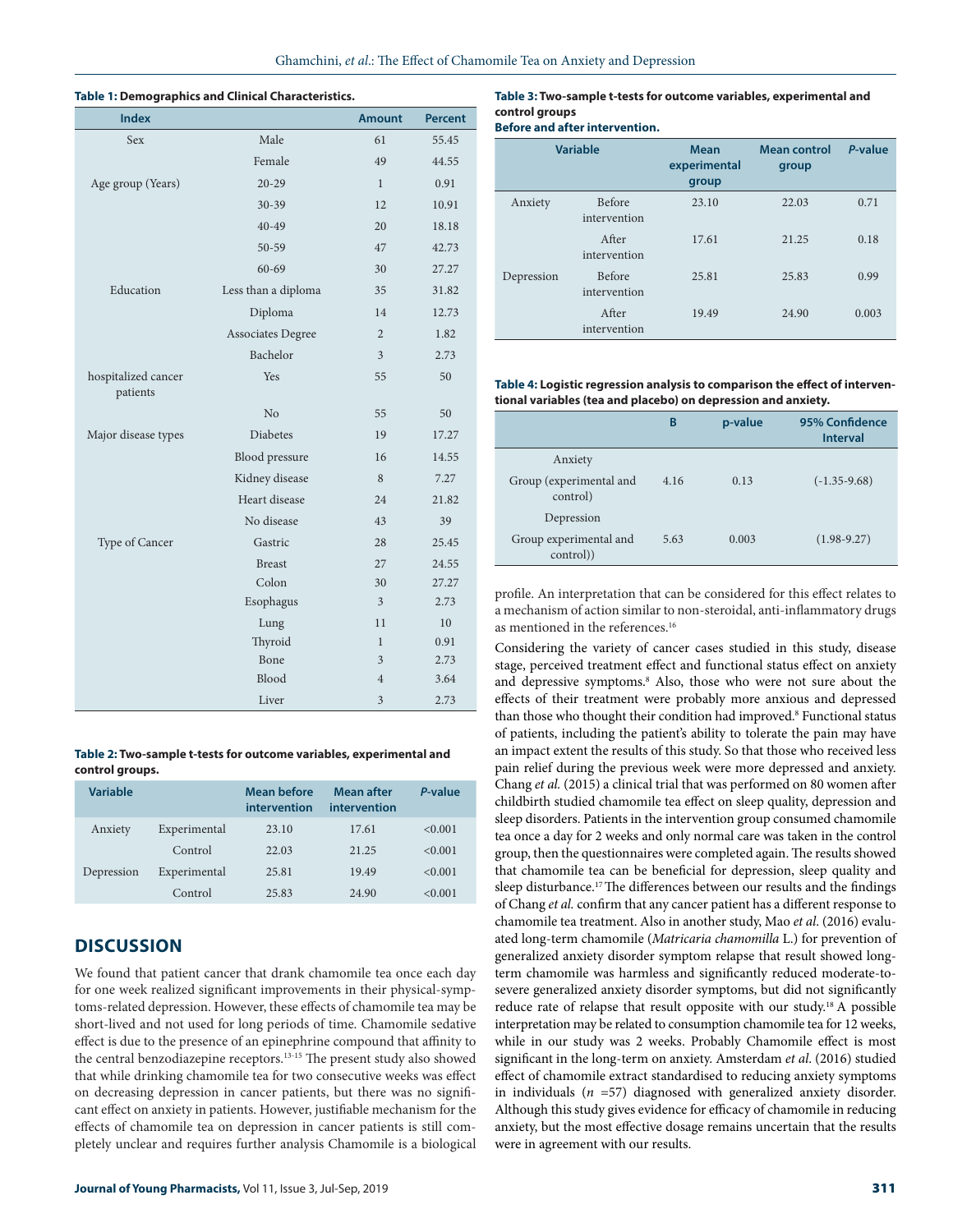#### **Table 1: Demographics and Clinical Characteristics.**

| <b>Index</b>                    |                          | <b>Amount</b>  | <b>Percent</b> |
|---------------------------------|--------------------------|----------------|----------------|
| <b>Sex</b>                      | Male                     | 61             | 55.45          |
|                                 | Female                   | 49             | 44.55          |
| Age group (Years)               | $20 - 29$                | $\mathbf{1}$   | 0.91           |
|                                 | $30 - 39$                | 12             | 10.91          |
|                                 | $40 - 49$                | 20             | 18.18          |
|                                 | $50 - 59$                | 47             | 42.73          |
|                                 | $60 - 69$                | 30             | 27.27          |
| Education                       | Less than a diploma      | 35             | 31.82          |
|                                 | Diploma                  | 14             | 12.73          |
|                                 | <b>Associates Degree</b> | $\overline{2}$ | 1.82           |
|                                 | Bachelor                 | $\overline{3}$ | 2.73           |
| hospitalized cancer<br>patients | Yes                      | 55             | 50             |
|                                 | N <sub>o</sub>           | 55             | 50             |
| Major disease types             | <b>Diabetes</b>          | 19             | 17.27          |
|                                 | Blood pressure           | 16             | 14.55          |
|                                 | Kidney disease           | 8              | 7.27           |
|                                 | Heart disease            | 24             | 21.82          |
|                                 | No disease               | 43             | 39             |
| Type of Cancer                  | Gastric                  | 28             | 25.45          |
|                                 | <b>Breast</b>            | 27             | 24.55          |
|                                 | Colon                    | 30             | 27.27          |
|                                 | Esophagus                | 3              | 2.73           |
|                                 | Lung                     | 11             | 10             |
|                                 | Thyroid                  | 1              | 0.91           |
|                                 | Bone                     | 3              | 2.73           |
|                                 | Blood                    | $\overline{4}$ | 3.64           |
|                                 | Liver                    | 3              | 2.73           |

**Table 2: Two-sample t-tests for outcome variables, experimental and control groups.**

| Variable   |              | Mean before<br>intervention | <b>Mean after</b><br>intervention | P-value |
|------------|--------------|-----------------------------|-----------------------------------|---------|
| Anxiety    | Experimental | 23.10                       | 17.61                             | < 0.001 |
|            | Control      | 22.03                       | 21.25                             | < 0.001 |
| Depression | Experimental | 25.81                       | 19.49                             | < 0.001 |
|            | Control      | 25.83                       | 24.90                             | < 0.001 |

# **DISCUSSION**

We found that patient cancer that drank chamomile tea once each day for one week realized significant improvements in their physical-symptoms-related depression. However, these effects of chamomile tea may be short-lived and not used for long periods of time. Chamomile sedative effect is due to the presence of an epinephrine compound that affinity to the central benzodiazepine receptors.13-15 The present study also showed that while drinking chamomile tea for two consecutive weeks was effect on decreasing depression in cancer patients, but there was no significant effect on anxiety in patients. However, justifiable mechanism for the effects of chamomile tea on depression in cancer patients is still completely unclear and requires further analysis Chamomile is a biological

#### **Table 3: Two-sample t-tests for outcome variables, experimental and control groups**

| <b>Before and after intervention.</b> |  |
|---------------------------------------|--|
|---------------------------------------|--|

|            | <b>Variable</b>               | <b>Mean</b><br>experimental<br>group | <b>Mean control</b><br>group | P-value |
|------------|-------------------------------|--------------------------------------|------------------------------|---------|
| Anxiety    | <b>Before</b><br>intervention | 23.10                                | 22.03                        | 0.71    |
|            | After<br>intervention         | 17.61                                | 21.25                        | 0.18    |
| Depression | <b>Before</b><br>intervention | 25.81                                | 25.83                        | 0.99    |
|            | After<br>intervention         | 19.49                                | 24.90                        | 0.003   |

**Table 4: Logistic regression analysis to comparison the effect of interventional variables (tea and placebo) on depression and anxiety.**

|                                     | B    | p-value | 95% Confidence<br><b>Interval</b> |
|-------------------------------------|------|---------|-----------------------------------|
| Anxiety                             |      |         |                                   |
| Group (experimental and<br>control) | 4.16 | 0.13    | $(-1.35-9.68)$                    |
| Depression                          |      |         |                                   |
| Group experimental and<br>control)  | 5.63 | 0.003   | $(1.98 - 9.27)$                   |

profile. An interpretation that can be considered for this effect relates to a mechanism of action similar to non-steroidal, anti-inflammatory drugs as mentioned in the references.16

Considering the variety of cancer cases studied in this study, disease stage, perceived treatment effect and functional status effect on anxiety and depressive symptoms.<sup>8</sup> Also, those who were not sure about the effects of their treatment were probably more anxious and depressed than those who thought their condition had improved.<sup>8</sup> Functional status of patients, including the patient's ability to tolerate the pain may have an impact extent the results of this study. So that those who received less pain relief during the previous week were more depressed and anxiety. Chang *et al.* (2015) a clinical trial that was performed on 80 women after childbirth studied chamomile tea effect on sleep quality, depression and sleep disorders. Patients in the intervention group consumed chamomile tea once a day for 2 weeks and only normal care was taken in the control group, then the questionnaires were completed again. The results showed that chamomile tea can be beneficial for depression, sleep quality and sleep disturbance.<sup>17</sup> The differences between our results and the findings of Chang *et al.* confirm that any cancer patient has a different response to chamomile tea treatment. Also in another study, Mao *et al*. (2016) evaluated long-term chamomile (*Matricaria chamomilla* L.) for prevention of generalized anxiety disorder symptom relapse that result showed longterm chamomile was harmless and significantly reduced moderate-tosevere generalized anxiety disorder symptoms, but did not significantly reduce rate of relapse that result opposite with our study.18 A possible interpretation may be related to consumption chamomile tea for 12 weeks, while in our study was 2 weeks. Probably Chamomile effect is most significant in the long-term on anxiety. Amsterdam *et al*. (2016) studied effect of chamomile extract standardised to reducing anxiety symptoms in individuals (*n* =57) diagnosed with generalized anxiety disorder. Although this study gives evidence for efficacy of chamomile in reducing anxiety, but the most effective dosage remains uncertain that the results were in agreement with our results.